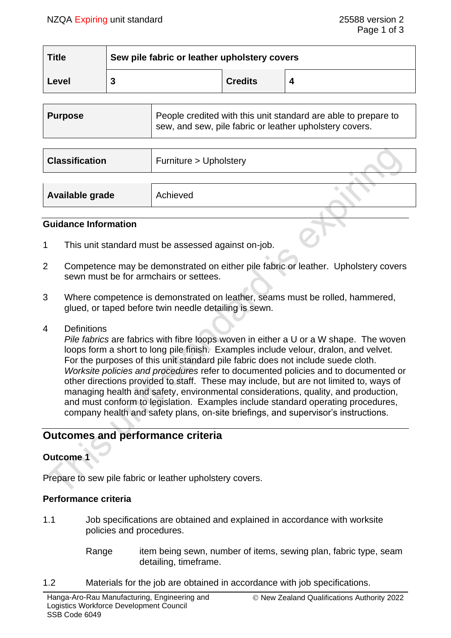| <b>Title</b> | Sew pile fabric or leather upholstery covers |                |  |
|--------------|----------------------------------------------|----------------|--|
| Level        |                                              | <b>Credits</b> |  |

| People credited with this unit standard are able to prepare to<br><b>Purpose</b><br>sew, and sew, pile fabric or leather upholstery covers. |
|---------------------------------------------------------------------------------------------------------------------------------------------|
|---------------------------------------------------------------------------------------------------------------------------------------------|

| <b>Classification</b> | Furniture > Upholstery |  |
|-----------------------|------------------------|--|
|                       |                        |  |
| Available grade       | Achieved               |  |

#### **Guidance Information**

- 1 This unit standard must be assessed against on-job.
- 2 Competence may be demonstrated on either pile fabric or leather. Upholstery covers sewn must be for armchairs or settees.
- 3 Where competence is demonstrated on leather, seams must be rolled, hammered, glued, or taped before twin needle detailing is sewn.
- 4 Definitions

*Pile fabrics* are fabrics with fibre loops woven in either a U or a W shape. The woven loops form a short to long pile finish. Examples include velour, dralon, and velvet. For the purposes of this unit standard pile fabric does not include suede cloth. *Worksite policies and procedures* refer to documented policies and to documented or other directions provided to staff. These may include, but are not limited to, ways of managing health and safety, environmental considerations, quality, and production, and must conform to legislation. Examples include standard operating procedures, company health and safety plans, on-site briefings, and supervisor's instructions.

# **Outcomes and performance criteria**

## **Outcome 1**

Prepare to sew pile fabric or leather upholstery covers.

#### **Performance criteria**

- 1.1 Job specifications are obtained and explained in accordance with worksite policies and procedures.
	- Range item being sewn, number of items, sewing plan, fabric type, seam detailing, timeframe.
- 1.2 Materials for the job are obtained in accordance with job specifications.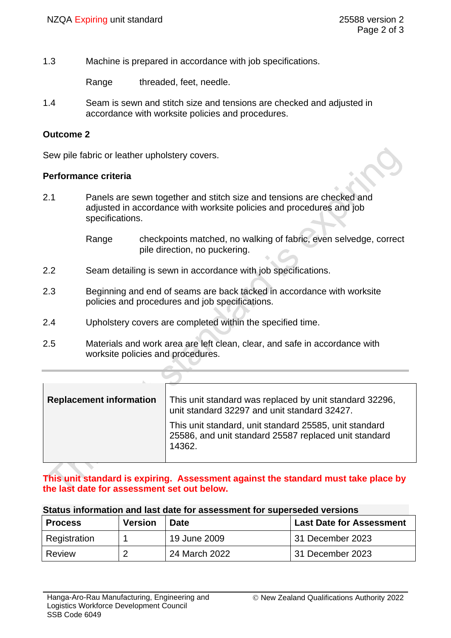1.3 Machine is prepared in accordance with job specifications.

Range threaded, feet, needle.

1.4 Seam is sewn and stitch size and tensions are checked and adjusted in accordance with worksite policies and procedures.

### **Outcome 2**

Sew pile fabric or leather upholstery covers.

#### **Performance criteria**

- 2.1 Panels are sewn together and stitch size and tensions are checked and adjusted in accordance with worksite policies and procedures and job specifications.
	- Range checkpoints matched, no walking of fabric, even selvedge, correct pile direction, no puckering.
- 2.2 Seam detailing is sewn in accordance with job specifications.
- 2.3 Beginning and end of seams are back tacked in accordance with worksite policies and procedures and job specifications.
- 2.4 Upholstery covers are completed within the specified time.
- 2.5 Materials and work area are left clean, clear, and safe in accordance with worksite policies and procedures.

| <b>Replacement information</b> | This unit standard was replaced by unit standard 32296,<br>unit standard 32297 and unit standard 32427.                   |  |
|--------------------------------|---------------------------------------------------------------------------------------------------------------------------|--|
|                                | This unit standard, unit standard 25585, unit standard<br>25586, and unit standard 25587 replaced unit standard<br>14362. |  |

#### **This unit standard is expiring. Assessment against the standard must take place by the last date for assessment set out below.**

### **Status information and last date for assessment for superseded versions**

| <b>Process</b> | <b>Version</b> | <b>Date</b>   | <b>Last Date for Assessment</b> |
|----------------|----------------|---------------|---------------------------------|
| Registration   |                | 19 June 2009  | 31 December 2023                |
| Review         | ◠              | 24 March 2022 | 31 December 2023                |